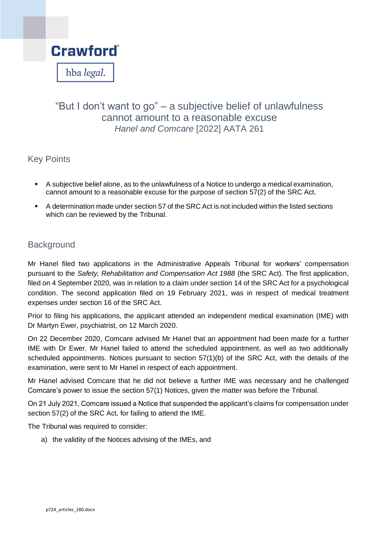

# "But I don't want to go" – a subjective belief of unlawfulness cannot amount to a reasonable excuse *Hanel and Comcare* [2022] AATA 261

## Key Points

- A subjective belief alone, as to the unlawfulness of a Notice to undergo a medical examination, cannot amount to a reasonable excuse for the purpose of section 57(2) of the SRC Act.
- A determination made under section 57 of the SRC Act is not included within the listed sections which can be reviewed by the Tribunal.

## **Background**

Mr Hanel filed two applications in the Administrative Appeals Tribunal for workers' compensation pursuant to the *Safety, Rehabilitation and Compensation Act 1988* (the SRC Act). The first application, filed on 4 September 2020, was in relation to a claim under section 14 of the SRC Act for a psychological condition. The second application filed on 19 February 2021, was in respect of medical treatment expenses under section 16 of the SRC Act.

Prior to filing his applications, the applicant attended an independent medical examination (IME) with Dr Martyn Ewer, psychiatrist, on 12 March 2020.

On 22 December 2020, Comcare advised Mr Hanel that an appointment had been made for a further IME with Dr Ewer. Mr Hanel failed to attend the scheduled appointment, as well as two additionally scheduled appointments. Notices pursuant to section 57(1)(b) of the SRC Act, with the details of the examination, were sent to Mr Hanel in respect of each appointment.

Mr Hanel advised Comcare that he did not believe a further IME was necessary and he challenged Comcare's power to issue the section 57(1) Notices, given the matter was before the Tribunal.

On 21 July 2021, Comcare issued a Notice that suspended the applicant's claims for compensation under section 57(2) of the SRC Act, for failing to attend the IME.

The Tribunal was required to consider:

a) the validity of the Notices advising of the IMEs, and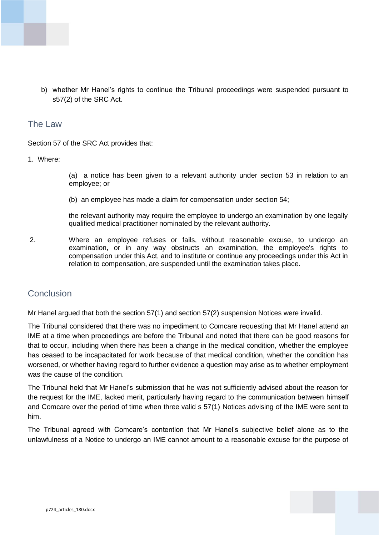

b) whether Mr Hanel's rights to continue the Tribunal proceedings were suspended pursuant to s57(2) of the SRC Act.

### The Law

Section 57 of the SRC Act provides that:

#### 1. Where:

(a) a notice has been given to a relevant authority under section 53 in relation to an employee; or

(b) an employee has made a claim for compensation under section 54;

the relevant authority may require the employee to undergo an examination by one legally qualified medical practitioner nominated by the relevant authority.

2. Where an employee refuses or fails, without reasonable excuse, to undergo an examination, or in any way obstructs an examination, the employee's rights to compensation under this Act, and to institute or continue any proceedings under this Act in relation to compensation, are suspended until the examination takes place.

### **Conclusion**

Mr Hanel argued that both the section 57(1) and section 57(2) suspension Notices were invalid.

The Tribunal considered that there was no impediment to Comcare requesting that Mr Hanel attend an IME at a time when proceedings are before the Tribunal and noted that there can be good reasons for that to occur, including when there has been a change in the medical condition, whether the employee has ceased to be incapacitated for work because of that medical condition, whether the condition has worsened, or whether having regard to further evidence a question may arise as to whether employment was the cause of the condition.

The Tribunal held that Mr Hanel's submission that he was not sufficiently advised about the reason for the request for the IME, lacked merit, particularly having regard to the communication between himself and Comcare over the period of time when three valid s 57(1) Notices advising of the IME were sent to him.

The Tribunal agreed with Comcare's contention that Mr Hanel's subjective belief alone as to the unlawfulness of a Notice to undergo an IME cannot amount to a reasonable excuse for the purpose of